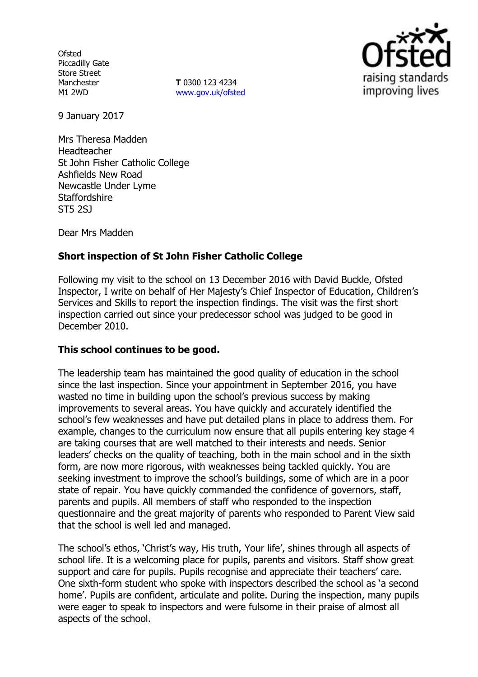**Ofsted** Piccadilly Gate Store Street Manchester M1 2WD

**T** 0300 123 4234 [www.gov.uk/ofsted](http://www.gov.uk/ofsted)



9 January 2017

Mrs Theresa Madden Headteacher St John Fisher Catholic College Ashfields New Road Newcastle Under Lyme **Staffordshire** ST5 2SJ

Dear Mrs Madden

# **Short inspection of St John Fisher Catholic College**

Following my visit to the school on 13 December 2016 with David Buckle, Ofsted Inspector, I write on behalf of Her Majesty's Chief Inspector of Education, Children's Services and Skills to report the inspection findings. The visit was the first short inspection carried out since your predecessor school was judged to be good in December 2010.

### **This school continues to be good.**

The leadership team has maintained the good quality of education in the school since the last inspection. Since your appointment in September 2016, you have wasted no time in building upon the school's previous success by making improvements to several areas. You have quickly and accurately identified the school's few weaknesses and have put detailed plans in place to address them. For example, changes to the curriculum now ensure that all pupils entering key stage 4 are taking courses that are well matched to their interests and needs. Senior leaders' checks on the quality of teaching, both in the main school and in the sixth form, are now more rigorous, with weaknesses being tackled quickly. You are seeking investment to improve the school's buildings, some of which are in a poor state of repair. You have quickly commanded the confidence of governors, staff, parents and pupils. All members of staff who responded to the inspection questionnaire and the great majority of parents who responded to Parent View said that the school is well led and managed.

The school's ethos, 'Christ's way, His truth, Your life', shines through all aspects of school life. It is a welcoming place for pupils, parents and visitors. Staff show great support and care for pupils. Pupils recognise and appreciate their teachers' care. One sixth-form student who spoke with inspectors described the school as 'a second home'. Pupils are confident, articulate and polite. During the inspection, many pupils were eager to speak to inspectors and were fulsome in their praise of almost all aspects of the school.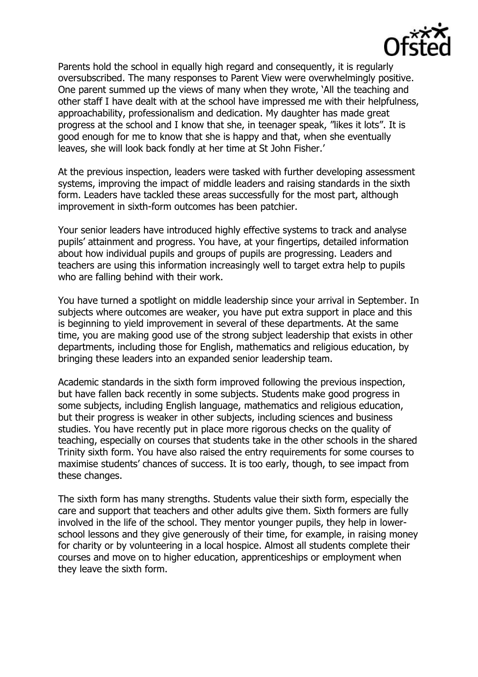

Parents hold the school in equally high regard and consequently, it is regularly oversubscribed. The many responses to Parent View were overwhelmingly positive. One parent summed up the views of many when they wrote, 'All the teaching and other staff I have dealt with at the school have impressed me with their helpfulness, approachability, professionalism and dedication. My daughter has made great progress at the school and I know that she, in teenager speak, "likes it lots". It is good enough for me to know that she is happy and that, when she eventually leaves, she will look back fondly at her time at St John Fisher.'

At the previous inspection, leaders were tasked with further developing assessment systems, improving the impact of middle leaders and raising standards in the sixth form. Leaders have tackled these areas successfully for the most part, although improvement in sixth-form outcomes has been patchier.

Your senior leaders have introduced highly effective systems to track and analyse pupils' attainment and progress. You have, at your fingertips, detailed information about how individual pupils and groups of pupils are progressing. Leaders and teachers are using this information increasingly well to target extra help to pupils who are falling behind with their work.

You have turned a spotlight on middle leadership since your arrival in September. In subjects where outcomes are weaker, you have put extra support in place and this is beginning to yield improvement in several of these departments. At the same time, you are making good use of the strong subject leadership that exists in other departments, including those for English, mathematics and religious education, by bringing these leaders into an expanded senior leadership team.

Academic standards in the sixth form improved following the previous inspection, but have fallen back recently in some subjects. Students make good progress in some subjects, including English language, mathematics and religious education, but their progress is weaker in other subjects, including sciences and business studies. You have recently put in place more rigorous checks on the quality of teaching, especially on courses that students take in the other schools in the shared Trinity sixth form. You have also raised the entry requirements for some courses to maximise students' chances of success. It is too early, though, to see impact from these changes.

The sixth form has many strengths. Students value their sixth form, especially the care and support that teachers and other adults give them. Sixth formers are fully involved in the life of the school. They mentor younger pupils, they help in lowerschool lessons and they give generously of their time, for example, in raising money for charity or by volunteering in a local hospice. Almost all students complete their courses and move on to higher education, apprenticeships or employment when they leave the sixth form.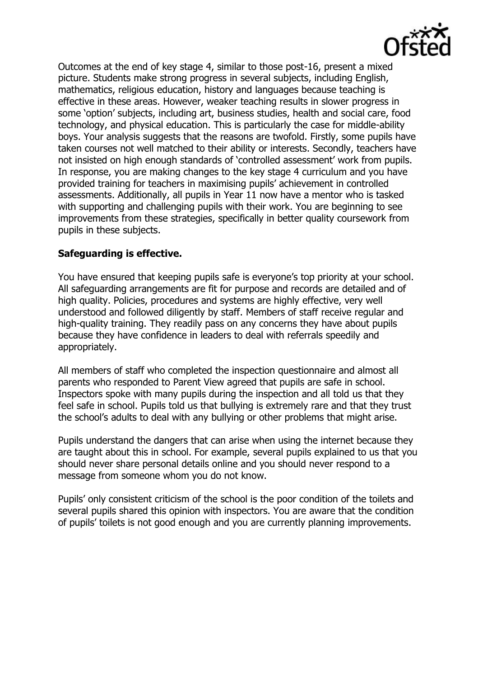

Outcomes at the end of key stage 4, similar to those post-16, present a mixed picture. Students make strong progress in several subjects, including English, mathematics, religious education, history and languages because teaching is effective in these areas. However, weaker teaching results in slower progress in some 'option' subjects, including art, business studies, health and social care, food technology, and physical education. This is particularly the case for middle-ability boys. Your analysis suggests that the reasons are twofold. Firstly, some pupils have taken courses not well matched to their ability or interests. Secondly, teachers have not insisted on high enough standards of 'controlled assessment' work from pupils. In response, you are making changes to the key stage 4 curriculum and you have provided training for teachers in maximising pupils' achievement in controlled assessments. Additionally, all pupils in Year 11 now have a mentor who is tasked with supporting and challenging pupils with their work. You are beginning to see improvements from these strategies, specifically in better quality coursework from pupils in these subjects.

# **Safeguarding is effective.**

You have ensured that keeping pupils safe is everyone's top priority at your school. All safeguarding arrangements are fit for purpose and records are detailed and of high quality. Policies, procedures and systems are highly effective, very well understood and followed diligently by staff. Members of staff receive regular and high-quality training. They readily pass on any concerns they have about pupils because they have confidence in leaders to deal with referrals speedily and appropriately.

All members of staff who completed the inspection questionnaire and almost all parents who responded to Parent View agreed that pupils are safe in school. Inspectors spoke with many pupils during the inspection and all told us that they feel safe in school. Pupils told us that bullying is extremely rare and that they trust the school's adults to deal with any bullying or other problems that might arise.

Pupils understand the dangers that can arise when using the internet because they are taught about this in school. For example, several pupils explained to us that you should never share personal details online and you should never respond to a message from someone whom you do not know.

Pupils' only consistent criticism of the school is the poor condition of the toilets and several pupils shared this opinion with inspectors. You are aware that the condition of pupils' toilets is not good enough and you are currently planning improvements.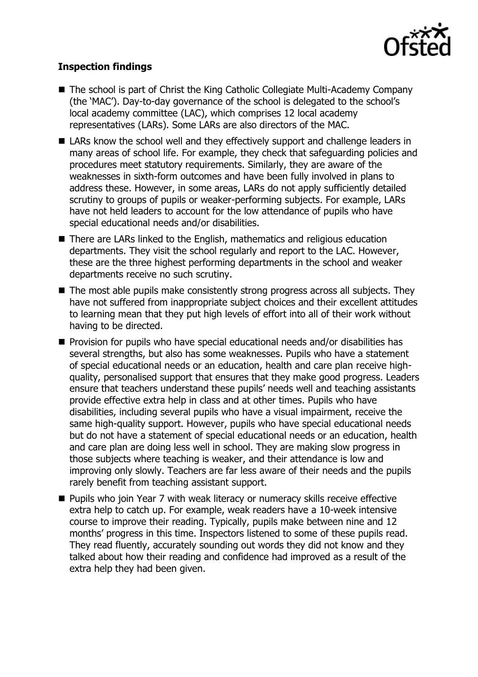

# **Inspection findings**

- The school is part of Christ the King Catholic Collegiate Multi-Academy Company (the 'MAC'). Day-to-day governance of the school is delegated to the school's local academy committee (LAC), which comprises 12 local academy representatives (LARs). Some LARs are also directors of the MAC.
- LARs know the school well and they effectively support and challenge leaders in many areas of school life. For example, they check that safeguarding policies and procedures meet statutory requirements. Similarly, they are aware of the weaknesses in sixth-form outcomes and have been fully involved in plans to address these. However, in some areas, LARs do not apply sufficiently detailed scrutiny to groups of pupils or weaker-performing subjects. For example, LARs have not held leaders to account for the low attendance of pupils who have special educational needs and/or disabilities.
- There are LARs linked to the English, mathematics and religious education departments. They visit the school regularly and report to the LAC. However, these are the three highest performing departments in the school and weaker departments receive no such scrutiny.
- The most able pupils make consistently strong progress across all subjects. They have not suffered from inappropriate subject choices and their excellent attitudes to learning mean that they put high levels of effort into all of their work without having to be directed.
- **Provision for pupils who have special educational needs and/or disabilities has** several strengths, but also has some weaknesses. Pupils who have a statement of special educational needs or an education, health and care plan receive highquality, personalised support that ensures that they make good progress. Leaders ensure that teachers understand these pupils' needs well and teaching assistants provide effective extra help in class and at other times. Pupils who have disabilities, including several pupils who have a visual impairment, receive the same high-quality support. However, pupils who have special educational needs but do not have a statement of special educational needs or an education, health and care plan are doing less well in school. They are making slow progress in those subjects where teaching is weaker, and their attendance is low and improving only slowly. Teachers are far less aware of their needs and the pupils rarely benefit from teaching assistant support.
- Pupils who join Year 7 with weak literacy or numeracy skills receive effective extra help to catch up. For example, weak readers have a 10-week intensive course to improve their reading. Typically, pupils make between nine and 12 months' progress in this time. Inspectors listened to some of these pupils read. They read fluently, accurately sounding out words they did not know and they talked about how their reading and confidence had improved as a result of the extra help they had been given.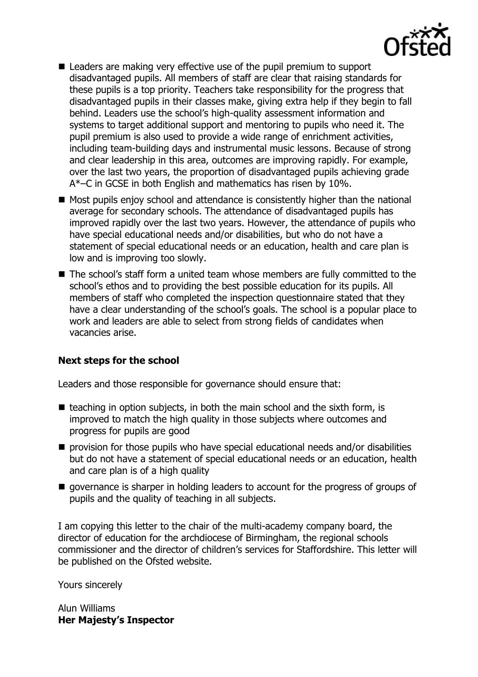

- Leaders are making very effective use of the pupil premium to support disadvantaged pupils. All members of staff are clear that raising standards for these pupils is a top priority. Teachers take responsibility for the progress that disadvantaged pupils in their classes make, giving extra help if they begin to fall behind. Leaders use the school's high-quality assessment information and systems to target additional support and mentoring to pupils who need it. The pupil premium is also used to provide a wide range of enrichment activities, including team-building days and instrumental music lessons. Because of strong and clear leadership in this area, outcomes are improving rapidly. For example, over the last two years, the proportion of disadvantaged pupils achieving grade A\*–C in GCSE in both English and mathematics has risen by 10%.
- Most pupils enjoy school and attendance is consistently higher than the national average for secondary schools. The attendance of disadvantaged pupils has improved rapidly over the last two years. However, the attendance of pupils who have special educational needs and/or disabilities, but who do not have a statement of special educational needs or an education, health and care plan is low and is improving too slowly.
- The school's staff form a united team whose members are fully committed to the school's ethos and to providing the best possible education for its pupils. All members of staff who completed the inspection questionnaire stated that they have a clear understanding of the school's goals. The school is a popular place to work and leaders are able to select from strong fields of candidates when vacancies arise.

### **Next steps for the school**

Leaders and those responsible for governance should ensure that:

- $\blacksquare$  teaching in option subjects, in both the main school and the sixth form, is improved to match the high quality in those subjects where outcomes and progress for pupils are good
- **P** provision for those pupils who have special educational needs and/or disabilities but do not have a statement of special educational needs or an education, health and care plan is of a high quality
- **q** governance is sharper in holding leaders to account for the progress of groups of pupils and the quality of teaching in all subjects.

I am copying this letter to the chair of the multi-academy company board, the director of education for the archdiocese of Birmingham, the regional schools commissioner and the director of children's services for Staffordshire. This letter will be published on the Ofsted website.

Yours sincerely

Alun Williams **Her Majesty's Inspector**